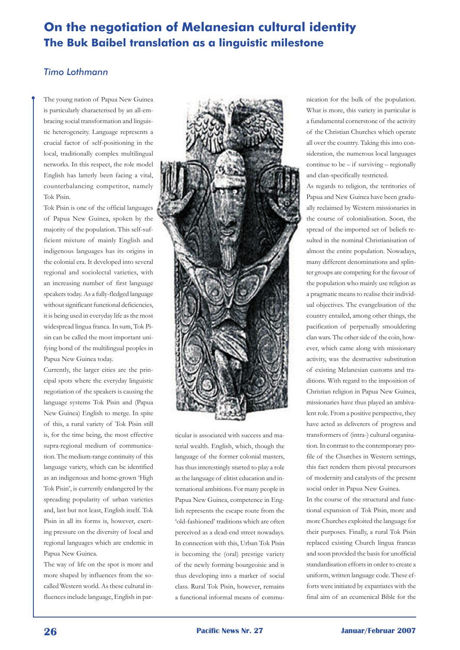## **On the negotiation of Melanesian cultural identity The Buk Baibel translation as a linguistic milestone**

## *Timo Lothmann*

The young nation of Papua New Guinea is particularly characterised by an all-embracing social transformation and linguistic heterogeneity. Language represents a crucial factor of self-positioning in the local, traditionally complex multilingual networks. In this respect, the role model English has latterly been facing a vital, counterbalancing competitor, namely Tok Pisin.

Tok Pisin is one of the official languages of Papua New Guinea, spoken by the majority of the population. This self-sufficient mixture of mainly English and indigenous languages has its origins in the colonial era. It developed into several regional and sociolectal varieties, with an increasing number of first language speakers today. As a fully-fledged language without significant functional deficiencies, it is being used in everyday life as the most widespread lingua franca. In sum, Tok Pisin can be called the most important unifying bond of the multilingual peoples in Papua New Guinea today.

Currently, the larger cities are the principal spots where the everyday linguistic negotiation of the speakers is causing the language systems Tok Pisin and (Papua New Guinea) English to merge. In spite of this, a rural variety of Tok Pisin still is, for the time being, the most effective supra-regional medium of communication. The medium-range continuity of this language variety, which can be identified as an indigenous and home-grown 'High Tok Pisin', is currently endangered by the spreading popularity of urban varieties and, last but not least, English itself. Tok Pisin in all its forms is, however, exerting pressure on the diversity of local and regional languages which are endemic in Papua New Guinea.

The way of life on the spot is more and more shaped by influences from the socalled Western world. As these cultural influences include language, English in par-



ticular is associated with success and material wealth. English, which, though the language of the former colonial masters, has thus interestingly started to play a role as the language of elitist education and international ambitions. For many people in Papua New Guinea, competence in English represents the escape route from the 'old-fashioned' traditions which are often perceived as a dead-end street nowadays. In connection with this, Urban Tok Pisin is becoming the (oral) prestige variety of the newly forming bourgeoisie and is thus developing into a marker of social class. Rural Tok Pisin, however, remains a functional informal means of communication for the bulk of the population. What is more, this variety in particular is a fundamental cornerstone of the activity of the Christian Churches which operate all over the country. Taking this into consideration, the numerous local languages continue to be  $-$  if surviving  $-$  regionally and clan-specifically restricted.

As regards to religion, the territories of Papua and New Guinea have been gradually reclaimed by Western missionaries in the course of colonialisation. Soon, the spread of the imported set of beliefs resulted in the nominal Christianisation of almost the entire population. Nowadays, many different denominations and splinter groups are competing for the favour of the population who mainly use religion as a pragmatic means to realise their individual objectives. The evangelisation of the country entailed, among other things, the pacification of perpetually smouldering clan wars. The other side of the coin, however, which came along with missionary activity, was the destructive substitution of existing Melanesian customs and traditions. With regard to the imposition of Christian religion in Papua New Guinea, missionaries have thus played an ambivalent role. From a positive perspective, they have acted as deliverers of progress and transformers of (intra-) cultural organisation. In contrast to the contemporary profile of the Churches in Western settings, this fact renders them pivotal precursors of modernity and catalysts of the present social order in Papua New Guinea.

In the course of the structural and functional expansion of Tok Pisin, more and more Churches exploited the language for their purposes. Finally, a rural Tok Pisin replaced existing Church lingua francas and soon provided the basis for unofficial standardisation efforts in order to create a uniform, written language code. These efforts were initiated by expatriates with the final aim of an ecumenical Bible for the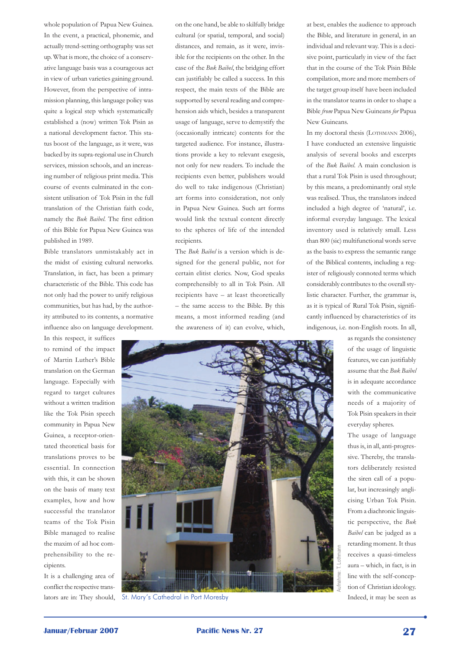whole population of Papua New Guinea. In the event, a practical, phonemic, and actually trend-setting orthography was set up. What is more, the choice of a conservative language basis was a courageous act in view of urban varieties gaining ground. However, from the perspective of intramission planning, this language policy was quite a logical step which systematically established a (now) written Tok Pisin as a national development factor. This status boost of the language, as it were, was backed by its supra-regional use in Church services, mission schools, and an increasing number of religious print media. This course of events culminated in the consistent utilisation of Tok Pisin in the full translation of the Christian faith code, namely the *Buk Baibel*. The first edition of this Bible for Papua New Guinea was published in 1989.

Bible translators unmistakably act in the midst of existing cultural networks. Translation, in fact, has been a primary characteristic of the Bible. This code has not only had the power to unify religious communities, but has had, by the authority attributed to its contents, a normative influence also on language development.

In this respect, it suffices to remind of the impact of Martin Luther's Bible translation on the German language. Especially with regard to target cultures without a written tradition like the Tok Pisin speech community in Papua New Guinea, a receptor-orientated theoretical basis for translations proves to be essential. In connection with this, it can be shown on the basis of many text examples, how and how successful the translator teams of the Tok Pisin Bible managed to realise the maxim of ad hoc comprehensibility to the recipients.

It is a challenging area of conflict the respective translators are in: They should, on the one hand, be able to skilfully bridge cultural (or spatial, temporal, and social) distances, and remain, as it were, invisible for the recipients on the other. In the case of the *Buk Baibel*, the bridging effort can justifiably be called a success. In this respect, the main texts of the Bible are supported by several reading and comprehension aids which, besides a transparent usage of language, serve to demystify the (occasionally intricate) contents for the targeted audience. For instance, illustrations provide a key to relevant exegesis, not only for new readers. To include the recipients even better, publishers would do well to take indigenous (Christian) art forms into consideration, not only in Papua New Guinea. Such art forms would link the textual content directly to the spheres of life of the intended recipients.

The *Buk Baibel* is a version which is designed for the general public, not for certain elitist clerics. Now, God speaks comprehensibly to all in Tok Pisin. All recipients have – at least theoretically – the same access to the Bible. By this means, a most informed reading (and the awareness of it) can evolve, which,

at best, enables the audience to approach the Bible, and literature in general, in an individual and relevant way. This is a decisive point, particularly in view of the fact that in the course of the Tok Pisin Bible compilation, more and more members of the target group itself have been included in the translator teams in order to shape a Bible *from* Papua New Guineans *for* Papua New Guineans.

In my doctoral thesis (LOTHMANN 2006), I have conducted an extensive linguistic analysis of several books and excerpts of the *Buk Baibel*. A main conclusion is that a rural Tok Pisin is used throughout; by this means, a predominantly oral style was realised. Thus, the translators indeed included a high degree of 'natural', i.e. informal everyday language. The lexical inventory used is relatively small. Less than 800 (sic) multifunctional words serve as the basis to express the semantic range of the Biblical contents, including a register of religiously connoted terms which considerably contributes to the overall stylistic character. Further, the grammar is, as it is typical of Rural Tok Pisin, significantly influenced by characteristics of its indigenous, i.e. non-English roots. In all,

> as regards the consistency of the usage of linguistic features, we can justifiably assume that the *Buk Baibel* is in adequate accordance with the communicative needs of a majority of Tok Pisin speakers in their everyday spheres.

> The usage of language thus is, in all, anti-progressive. Thereby, the translators deliberately resisted the siren call of a popular, but increasingly anglicising Urban Tok Pisin. From a diachronic linguistic perspective, the *Buk Baibel* can be judged as a retarding moment. It thus receives a quasi-timeless aura – which, in fact, is in line with the self-conception of Christian ideology.